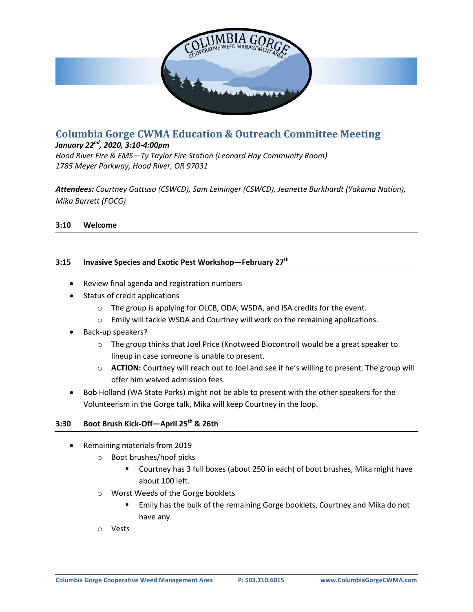

# **Columbia Gorge CWMA Education & Outreach Committee Meeting**

## *January 22nd, 2020, 3:10-4:00pm*

*Hood River Fire & EMS—Ty Taylor Fire Station (Leonard Hay Community Room) 1785 Meyer Parkway, Hood River, OR 97031*

*Attendees: Courtney Gattuso (CSWCD), Sam Leininger (CSWCD), Jeanette Burkhardt (Yakama Nation), Mika Barrett (FOCG)*

## **3:10 Welcome**

## **3:15 Invasive Species and Exotic Pest Workshop—February 27th**

- Review final agenda and registration numbers
- Status of credit applications
	- o The group is applying for OLCB, ODA, WSDA, and ISA credits for the event.
	- $\circ$  Emily will tackle WSDA and Courtney will work on the remaining applications.
- Back-up speakers?
	- $\circ$  The group thinks that Joel Price (Knotweed Biocontrol) would be a great speaker to lineup in case someone is unable to present.
	- o **ACTION:** Courtney will reach out to Joel and see if he's willing to present. The group will offer him waived admission fees.
- Bob Holland (WA State Parks) might not be able to present with the other speakers for the Volunteerism in the Gorge talk, Mika will keep Courtney in the loop.

#### **3:30 Boot Brush Kick-Off—April 25th & 26th**

- Remaining materials from 2019
	- o Boot brushes/hoof picks
		- Courtney has 3 full boxes (about 250 in each) of boot brushes, Mika might have about 100 left.
	- o Worst Weeds of the Gorge booklets
		- Emily has the bulk of the remaining Gorge booklets, Courtney and Mika do not have any.
	- o Vests